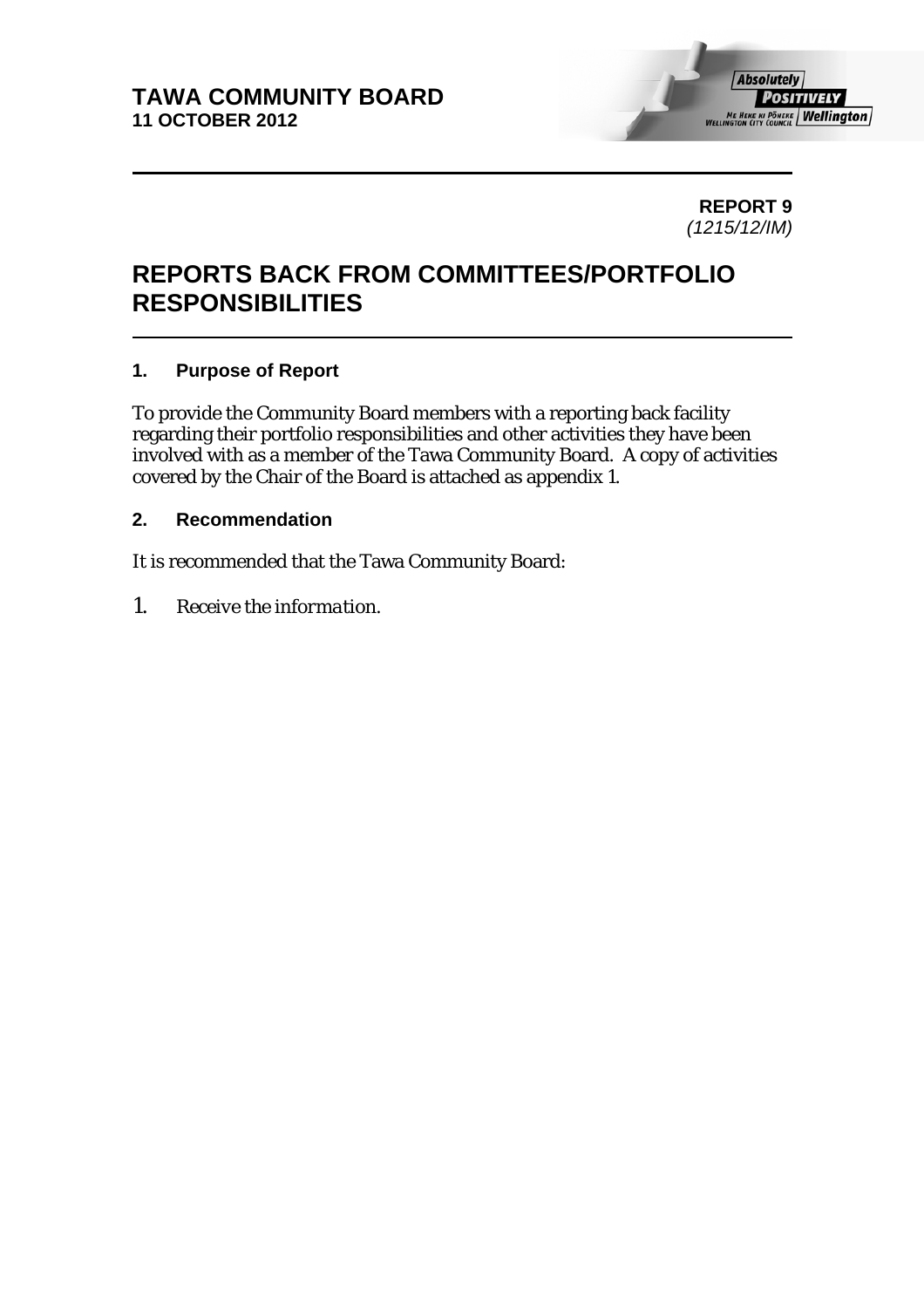

**REPORT 9**  *(1215/12/IM)* 

# **REPORTS BACK FROM COMMITTEES/PORTFOLIO RESPONSIBILITIES**

# **1. Purpose of Report**

To provide the Community Board members with a reporting back facility regarding their portfolio responsibilities and other activities they have been involved with as a member of the Tawa Community Board. A copy of activities covered by the Chair of the Board is attached as appendix 1.

### **2. Recommendation**

It is recommended that the Tawa Community Board:

*1. Receive the information.*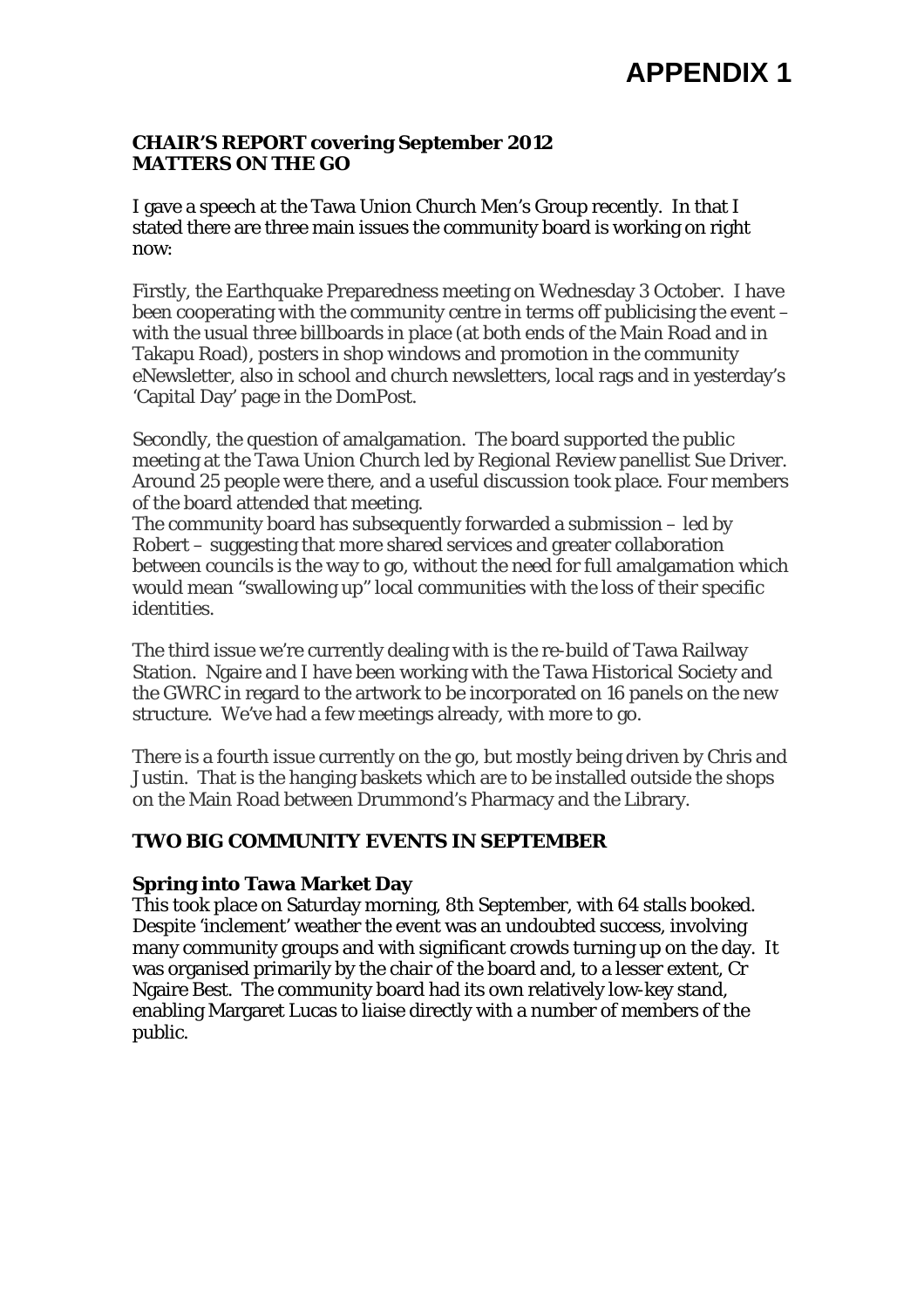# **APPENDIX 1**

#### **CHAIR'S REPORT covering September 2012 MATTERS ON THE GO**

I gave a speech at the Tawa Union Church Men's Group recently. In that I stated there are three main issues the community board is working on right now:

Firstly, the Earthquake Preparedness meeting on Wednesday 3 October. I have been cooperating with the community centre in terms off publicising the event – with the usual three billboards in place (at both ends of the Main Road and in Takapu Road), posters in shop windows and promotion in the community eNewsletter, also in school and church newsletters, local rags and in yesterday's 'Capital Day' page in the DomPost.

Secondly, the question of amalgamation. The board supported the public meeting at the Tawa Union Church led by Regional Review panellist Sue Driver. Around 25 people were there, and a useful discussion took place. Four members of the board attended that meeting.

The community board has subsequently forwarded a submission – led by Robert – suggesting that more shared services and greater collaboration between councils is the way to go, without the need for full amalgamation which would mean "swallowing up" local communities with the loss of their specific identities.

The third issue we're currently dealing with is the re-build of Tawa Railway Station. Ngaire and I have been working with the Tawa Historical Society and the GWRC in regard to the artwork to be incorporated on 16 panels on the new structure. We've had a few meetings already, with more to go.

There is a fourth issue currently on the go, but mostly being driven by Chris and Justin. That is the hanging baskets which are to be installed outside the shops on the Main Road between Drummond's Pharmacy and the Library.

# **TWO BIG COMMUNITY EVENTS IN SEPTEMBER**

# **Spring into Tawa Market Day**

This took place on Saturday morning, 8th September, with 64 stalls booked. Despite 'inclement' weather the event was an undoubted success, involving many community groups and with significant crowds turning up on the day. It was organised primarily by the chair of the board and, to a lesser extent, Cr Ngaire Best. The community board had its own relatively low-key stand, enabling Margaret Lucas to liaise directly with a number of members of the public.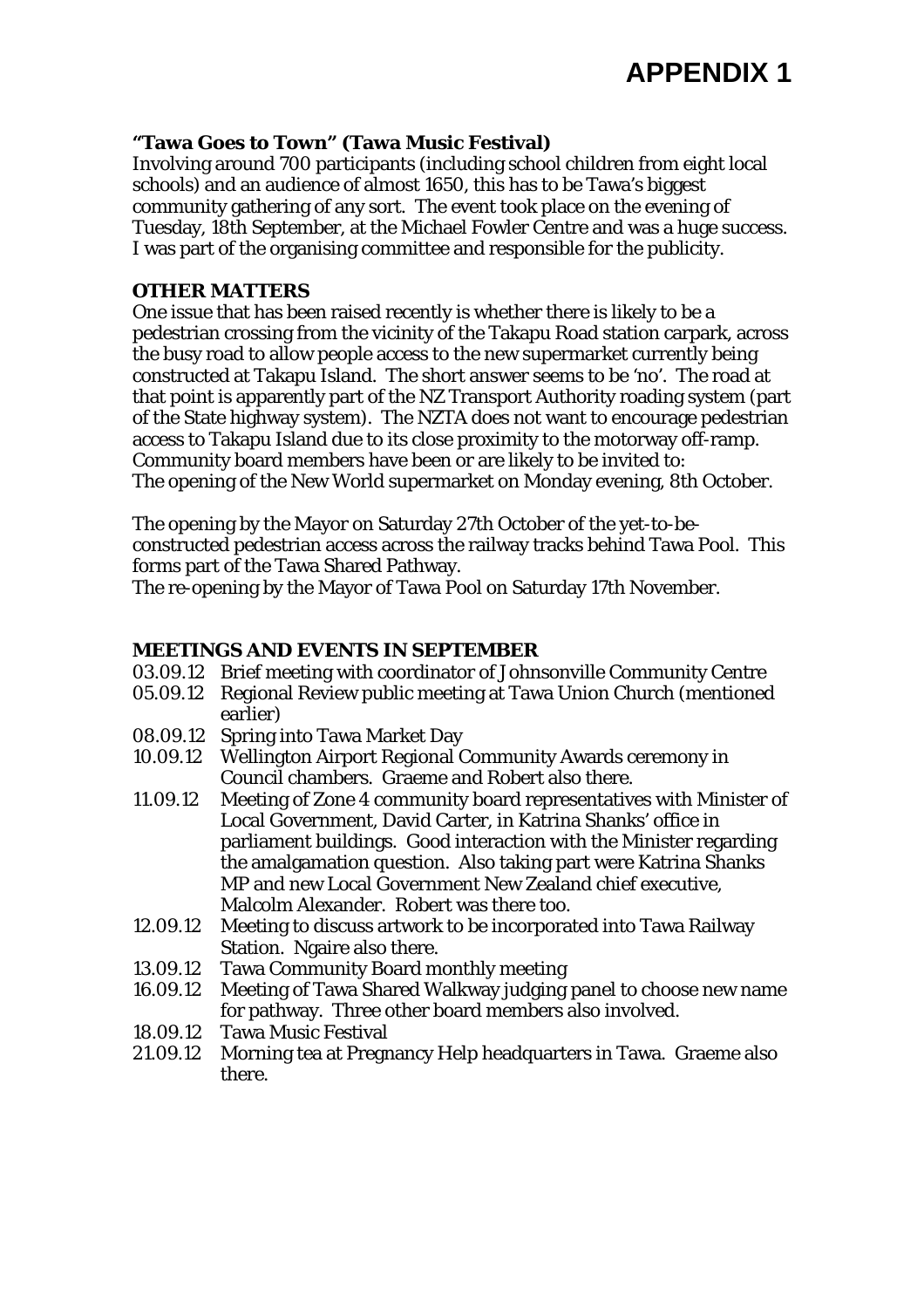#### **"Tawa Goes to Town" (Tawa Music Festival)**

Involving around 700 participants (including school children from eight local schools) and an audience of almost 1650, this has to be Tawa's biggest community gathering of any sort. The event took place on the evening of Tuesday, 18th September, at the Michael Fowler Centre and was a huge success. I was part of the organising committee and responsible for the publicity.

#### **OTHER MATTERS**

One issue that has been raised recently is whether there is likely to be a pedestrian crossing from the vicinity of the Takapu Road station carpark, across the busy road to allow people access to the new supermarket currently being constructed at Takapu Island. The short answer seems to be 'no'. The road at that point is apparently part of the NZ Transport Authority roading system (part of the State highway system). The NZTA does not want to encourage pedestrian access to Takapu Island due to its close proximity to the motorway off-ramp. Community board members have been or are likely to be invited to: The opening of the New World supermarket on Monday evening, 8th October.

The opening by the Mayor on Saturday 27th October of the yet-to-beconstructed pedestrian access across the railway tracks behind Tawa Pool. This forms part of the Tawa Shared Pathway.

The re-opening by the Mayor of Tawa Pool on Saturday 17th November.

#### **MEETINGS AND EVENTS IN SEPTEMBER**

- 03.09.12 Brief meeting with coordinator of Johnsonville Community Centre
- 05.09.12 Regional Review public meeting at Tawa Union Church (mentioned earlier)
- 08.09.12 Spring into Tawa Market Day
- 10.09.12 Wellington Airport Regional Community Awards ceremony in Council chambers. Graeme and Robert also there.
- 11.09.12 Meeting of Zone 4 community board representatives with Minister of Local Government, David Carter, in Katrina Shanks' office in parliament buildings. Good interaction with the Minister regarding the amalgamation question. Also taking part were Katrina Shanks MP and new Local Government New Zealand chief executive, Malcolm Alexander. Robert was there too.
- 12.09.12 Meeting to discuss artwork to be incorporated into Tawa Railway Station. Ngaire also there.
- 13.09.12 Tawa Community Board monthly meeting
- 16.09.12 Meeting of Tawa Shared Walkway judging panel to choose new name for pathway. Three other board members also involved.
- 18.09.12 Tawa Music Festival
- 21.09.12 Morning tea at Pregnancy Help headquarters in Tawa. Graeme also there.